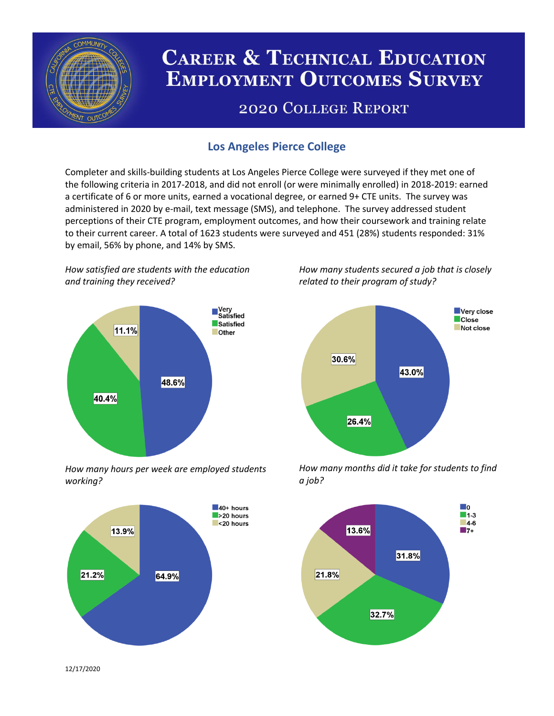

# **CAREER & TECHNICAL EDUCATION EMPLOYMENT OUTCOMES SURVEY**

## **2020 COLLEGE REPORT**

## **Los Angeles Pierce College**

Completer and skills-building students at Los Angeles Pierce College were surveyed if they met one of the following criteria in 2017-2018, and did not enroll (or were minimally enrolled) in 2018-2019: earned a certificate of 6 or more units, earned a vocational degree, or earned 9+ CTE units. The survey was administered in 2020 by e-mail, text message (SMS), and telephone. The survey addressed student perceptions of their CTE program, employment outcomes, and how their coursework and training relate to their current career. A total of 1623 students were surveyed and 451 (28%) students responded: 31% by email, 56% by phone, and 14% by SMS.

*How satisfied are students with the education and training they received?*



*How many hours per week are employed students working?*



*How many students secured a job that is closely related to their program of study?*



*How many months did it take for students to find a job?*